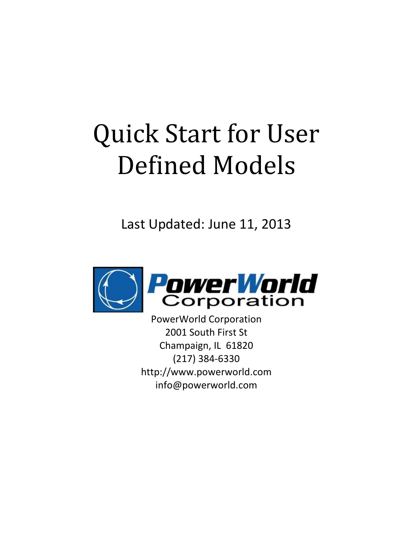# Quick Start for User Defined Models

Last Updated: June 11, 2013



PowerWorld Corporation 2001 South First St Champaign, IL 61820 (217) 384-6330 http://www.powerworld.com info@powerworld.com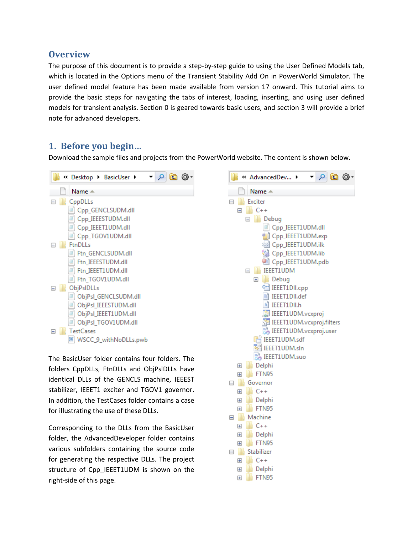#### <span id="page-2-0"></span>**Overview**

The purpose of this document is to provide a step-by-step guide to using the User Defined Models tab, which is located in the Options menu of the Transient Stability Add On in PowerWorld Simulator. The user defined model feature has been made available from version 17 onward. This tutorial aims to provide the basic steps for navigating the tabs of interest, loading, inserting, and using user defined models for transient analysis. Section [0](#page-2-2) is geared towards basic users, and section [3](#page-9-0) will provide a brief note for advanced developers.

### <span id="page-2-1"></span>**1. Before you begin…**

Download the sample files and projects from the PowerWorld website. The content is shown below.



The BasicUser folder contains four folders. The folders CppDLLs, FtnDLLs and ObjPslDLLs have identical DLLs of the GENCLS machine, IEEEST stabilizer, IEEET1 exciter and TGOV1 governor. In addition, the TestCases folder contains a case for illustrating the use of these DLLs.

Corresponding to the DLLs from the BasicUser folder, the AdvancedDeveloper folder contains various subfolders containing the source code for generating the respective DLLs. The project structure of Cpp\_IEEET1UDM is shown on the right-side of this page.

<span id="page-2-2"></span>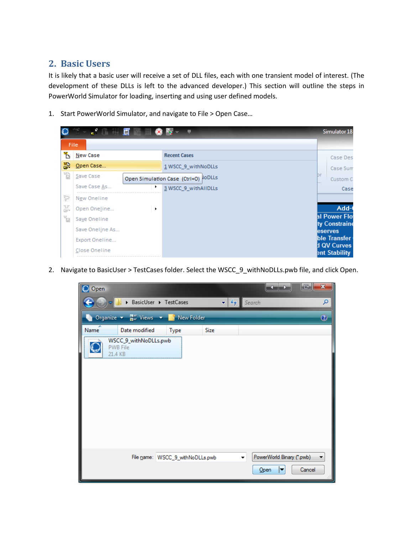## <span id="page-3-0"></span>**2. Basic Users**

It is likely that a basic user will receive a set of DLL files, each with one transient model of interest. (The development of these DLLs is left to the advanced developer.) This section will outline the steps in PowerWorld Simulator for loading, inserting and using user defined models.

1. Start PowerWorld Simulator, and navigate to File > Open Case…

|        | THE REAL PROPERTY OF STRIKE STRIKE STRIKE STRIKE STRIKE STRIKE STRIKE STRIKE STRIKE STRIKE STRIKE STRIKE STRIKE |   | $\blacksquare$                      | Simulator 18                        |
|--------|-----------------------------------------------------------------------------------------------------------------|---|-------------------------------------|-------------------------------------|
|        | File.                                                                                                           |   |                                     |                                     |
| Ъ      | New Case                                                                                                        |   | <b>Recent Cases</b>                 | Case Des                            |
| 쯿      | Open Case                                                                                                       |   | 1 WSCC_9_withNoDLLs                 | Case Sum                            |
| ťb     | Save Case                                                                                                       |   | Open Simulation Case (Ctrl+O) ODLLS | br<br>Custom C                      |
|        | Save Case As                                                                                                    | ٠ | 3 WSCC_9_withAIIDLLs                | Case                                |
| ţ      | New Oneline                                                                                                     |   |                                     |                                     |
| 풂      | Open Oneline                                                                                                    | ٠ |                                     | Add-                                |
| y<br>U | Save Oneline                                                                                                    |   |                                     | al Power Flo<br>ty Constraine       |
|        | Save Oneline As                                                                                                 |   |                                     | eserves                             |
|        | Export Oneline                                                                                                  |   |                                     | ble Transfer                        |
|        | Close Oneline                                                                                                   |   |                                     | d QV Curves<br><b>Ent Stability</b> |

2. Navigate to BasicUser > TestCases folder. Select the WSCC\_9\_withNoDLLs.pwb file, and click Open.

| O Open |                                                     |                        |      |     |                           | x<br>E         |
|--------|-----------------------------------------------------|------------------------|------|-----|---------------------------|----------------|
|        | BasicUser ▶ TestCases                               |                        | ٠    | $+$ | Search                    | α              |
|        | Organize $\star$ $\frac{m}{m}$ Views $\star$        | <b>New Folder</b><br>ш |      |     |                           | $\circledcirc$ |
| Name   | Date modified                                       | <b>Type</b>            | Size |     |                           |                |
| I      | WSCC_9_withNoDLLs.pwb<br><b>PWB File</b><br>21.4 KB |                        |      |     |                           |                |
|        |                                                     |                        |      |     |                           |                |
|        |                                                     |                        |      |     |                           |                |
|        |                                                     |                        |      |     |                           |                |
|        |                                                     |                        |      |     |                           |                |
|        |                                                     |                        |      |     |                           |                |
|        | File name: WSCC_9_withNoDLLs.pwb                    |                        |      | ▼   | PowerWorld Binary (*.pwb) |                |
|        |                                                     |                        |      |     | Open                      | Cancel         |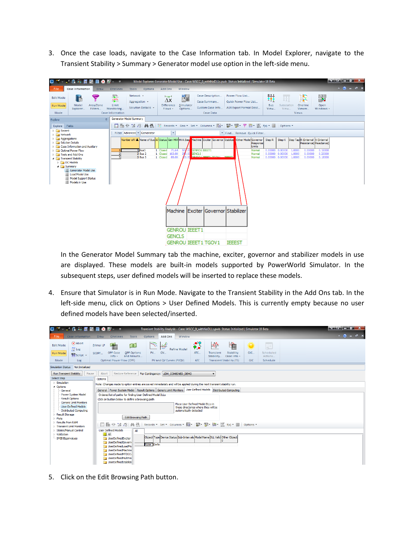3. Once the case loads, navigate to the Case Information tab. In Model Explorer, navigate to the Transient Stability > Summary > Generator model use option in the left-side menu.



In the Generator Model Summary tab the machine, exciter, governor and stabilizer models in use are displayed. These models are built-in models supported by PowerWorld Simulator. In the subsequent steps, user defined models will be inserted to replace these models.

4. Ensure that Simulator is in Run Mode. Navigate to the Transient Stability in the Add Ons tab. In the left-side menu, click on Options > User Defined Models. This is currently empty because no user defined models have been selected/inserted.

| 智 → 2 危 辩 厦 謡<br>O                                                                                                                                                                                                                                                                                                                                                                                                                                                   |                                                                                                                                                                                                                                                                                                                                                                                                                                                                                                                                                                                              | Transient Stability Analysis - Case: WSCC_9_withNoDLLs.pwb Status: Initialized   Simulator 18 Beta                                                                            |                                                                                     |                                                                         |                                                                          | Kalendar Ga            |
|----------------------------------------------------------------------------------------------------------------------------------------------------------------------------------------------------------------------------------------------------------------------------------------------------------------------------------------------------------------------------------------------------------------------------------------------------------------------|----------------------------------------------------------------------------------------------------------------------------------------------------------------------------------------------------------------------------------------------------------------------------------------------------------------------------------------------------------------------------------------------------------------------------------------------------------------------------------------------------------------------------------------------------------------------------------------------|-------------------------------------------------------------------------------------------------------------------------------------------------------------------------------|-------------------------------------------------------------------------------------|-------------------------------------------------------------------------|--------------------------------------------------------------------------|------------------------|
| <b>File</b><br>Case Information                                                                                                                                                                                                                                                                                                                                                                                                                                      | <b>Draw</b><br>Onelines<br>Tools                                                                                                                                                                                                                                                                                                                                                                                                                                                                                                                                                             | Add Ons<br>Window<br>Options                                                                                                                                                  |                                                                                     |                                                                         |                                                                          | $\land$ (?) = $\Box$ X |
| $\alpha$ Abort<br><b>Edit Mode</b><br>$\mathbb{E}$ Log<br>Run Mode<br><b>NAP</b> Script -<br>Mode<br>Log                                                                                                                                                                                                                                                                                                                                                             | 曲<br>$\bigcirc$<br>Primal LP<br>OPF Case<br><b>OPF Options</b><br>SCOPF<br>and Results<br>Info $\sim$<br>Optimal Power Flow (OPF)                                                                                                                                                                                                                                                                                                                                                                                                                                                            | $\mathbb{Z}$<br>$\overline{\mathbb{R}}$<br>Refine Model<br>QV<br><b>PV</b><br>PV and QV Curves (PVQV)                                                                         | $\frac{1}{2}$<br>₩<br>ATC<br>Transient<br>Stability<br><b>ATC</b>                   | 快<br><b>Stability</b><br>Case Info -<br><b>Transient Stability (TS)</b> | 纂<br><b>All</b><br>GIC<br>Scheduled<br>Actions<br><b>GIC</b><br>Schedule |                        |
| <b>Simulation Status</b><br>Not Initialized                                                                                                                                                                                                                                                                                                                                                                                                                          |                                                                                                                                                                                                                                                                                                                                                                                                                                                                                                                                                                                              |                                                                                                                                                                               |                                                                                     |                                                                         |                                                                          |                        |
| <b>Run Transient Stability</b><br>Pause<br><b>Select Step</b><br>$\triangleright$ - Simulation<br>4 Options<br>General<br>Power System Model<br>Result Options<br><b>Generic Limit Monitors</b><br><b>Liser Defined Models</b><br>Distributed Computing<br><b>D</b> - Result Storage<br>$\triangleright$ -Plots<br><b>D</b> - Results from RAM<br><b>D</b> Transient Limit Monitors<br>▷ States/Manual Control<br>$\triangleright$ · Validation<br>-SMIB Eigenvalues | Abort<br>Options<br>Note: Changes made to option entries are saved immediately and will be applied during the next transient stability run.<br>General   Power System Model   Result Options   Generic Limit Monitors   User Defined Models   Distributed Computing<br>Ordered list of paths for finding User Defined Model DLLs<br>Click on button below to define a browsing path<br>Edit Browsing Path<br>医非認 招 的的<br>膘<br><b>Liser Defined Models</b><br>All<br><b>HAI</b> All<br>UserDefinedExciter<br>UserDefinedGovern<br>UserDefinedLoadMo<br>UserDefinedMachine<br>UserDefinedMTDCC | Restore Reference   For Contingency:   UDM_COMBINED_DEMO<br>automatically detected<br>Object Type Device Status Sub-Intervals Model Name DLL Valid Other Object<br>None Defin | $\cdot$<br>Place User Defined Model DLLs in<br>these directories where they will be |                                                                         |                                                                          |                        |

5. Click on the Edit Browsing Path button.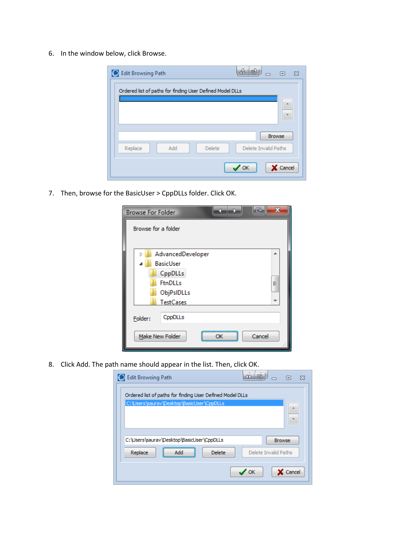6. In the window below, click Browse.

| <b>Edit Browsing Path</b>                                 | 同<br>Ж               |
|-----------------------------------------------------------|----------------------|
| Ordered list of paths for finding User Defined Model DLLs |                      |
|                                                           | A                    |
|                                                           |                      |
|                                                           | Browse               |
| Add<br>Delete<br>Replace                                  | Delete Invalid Paths |
|                                                           |                      |
|                                                           | Cancel<br>OK         |

7. Then, browse for the BasicUser > CppDLLs folder. Click OK.

| <b>Browse For Folder</b>  |   |
|---------------------------|---|
| Browse for a folder       |   |
|                           |   |
| AdvancedDeveloper<br>Þ    | ▲ |
| <b>BasicUser</b>          |   |
| CppDLLs                   |   |
| <b>FtnDLLs</b>            | Ξ |
| ObjPsIDLLs                |   |
| <b>TestCases</b>          |   |
| CppDLLs<br>Folder:        |   |
| Cancel<br>Make New Folder |   |

8. Click Add. The path name should appear in the list. Then, click OK.

| <b>Edit Browsing Path</b>                                 | 同<br>X               |
|-----------------------------------------------------------|----------------------|
| Ordered list of paths for finding User Defined Model DLLs |                      |
| C:\Users\saurav\Desktop\BasicUser\CppDLLs                 | a.                   |
|                                                           |                      |
|                                                           |                      |
| C:\Users\saurav\Desktop\BasicUser\CppDLLs                 | <b>Browse</b>        |
| <b>Delete</b><br>Replace<br>Add                           | Delete Invalid Paths |
|                                                           | Cancel<br><b>OK</b>  |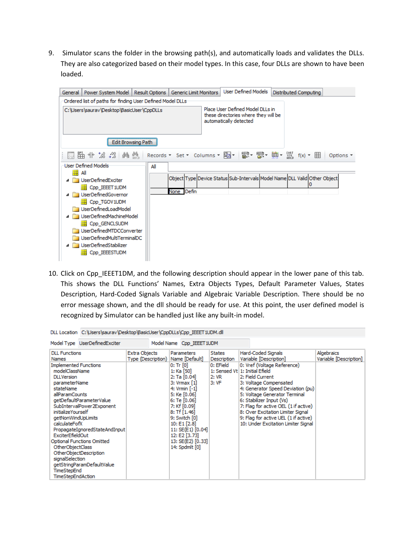9. Simulator scans the folder in the browsing path(s), and automatically loads and validates the DLLs. They are also categorized based on their model types. In this case, four DLLs are shown to have been loaded.



10. Click on Cpp\_IEEET1DM, and the following description should appear in the lower pane of this tab. This shows the DLL Functions' Names, Extra Objects Types, Default Parameter Values, States Description, Hard-Coded Signals Variable and Algebraic Variable Description. There should be no error message shown, and the dll should be ready for use. At this point, the user defined model is recognized by Simulator can be handled just like any built-in model.

|                                                                                                                                                                                                                                                                                | DLL Location    C:\Users\saurav\Desktop\BasicUser\CppDLLs\Cpp    IEEET1UDM.dll                                                                 |                                     |  |                                                                                                                                                                                                                                                                                                                               |                                                           |                                                                                                                                                                                                                                                                                                                                                                                                                                                                     |  |  |  |
|--------------------------------------------------------------------------------------------------------------------------------------------------------------------------------------------------------------------------------------------------------------------------------|------------------------------------------------------------------------------------------------------------------------------------------------|-------------------------------------|--|-------------------------------------------------------------------------------------------------------------------------------------------------------------------------------------------------------------------------------------------------------------------------------------------------------------------------------|-----------------------------------------------------------|---------------------------------------------------------------------------------------------------------------------------------------------------------------------------------------------------------------------------------------------------------------------------------------------------------------------------------------------------------------------------------------------------------------------------------------------------------------------|--|--|--|
|                                                                                                                                                                                                                                                                                | Model Type UserDefinedExciter                                                                                                                  |                                     |  |                                                                                                                                                                                                                                                                                                                               |                                                           |                                                                                                                                                                                                                                                                                                                                                                                                                                                                     |  |  |  |
| <b>DLL Functions</b><br><b>Names</b><br><b>Implemented Functions</b><br>modelClassName<br><b>DLLVersion</b><br>parameterName<br>stateName<br>allParamCounts<br><i>initializeYourself</i><br>getNonWindUpLimits<br>calculateFofX<br>ExciterEfieldOut<br><b>OtherObjectClass</b> | getDefaultParameterValue<br>SubIntervalPower2Exponent<br>PropagateIgnoredStateAndInput<br>Optional Functions Omitted<br>OtherObjectDescription | Extra Objects<br>Type (Description) |  | Model Name Cpp IEEET 1UDM<br>Parameters<br>Name [Default]<br>$0:$ Tr $[0]$<br>1: Ka [50]<br>2: Ta [0.04]<br>3: Vrmax [1]<br>4: Vrmin $[-1]$<br>5: Ke [0.06]<br>6: Te [0.06]<br>7: Kf [0.09]<br>$8:$ Tf $[1.46]$<br>9: Switch [0]<br>10: E1 [2.8]<br>11: SE(E1) [0.04]<br>12: E2 [3.73]<br>13: SE(E2) [0.33]<br>14: Spdmlt [0] | <b>States</b><br>Description<br>0: EField<br>2:VR<br>3:VF | Hard-Coded Signals<br>Algebraics<br>Variable [Description]<br>Variable [Description]<br>0: Vref (Voltage Reference)<br>1: Sensed Vt   1: Initial Efield<br>2: Field Current<br>3: Voltage Compensated<br>4: Generator Speed Deviation (pu)<br>5: Voltage Generator Terminal<br>6: Stabilizer Input (Vs)<br>7: Flag for active OEL (1 if active)<br>8: Over Excitation Limiter Signal<br>9: Flag for active UEL (1 if active)<br>10: Under Excitation Limiter Signal |  |  |  |
| signalSelection<br>getStringParamDefaultValue<br>TimeStepEnd<br>TimeStepEndAction                                                                                                                                                                                              |                                                                                                                                                |                                     |  |                                                                                                                                                                                                                                                                                                                               |                                                           |                                                                                                                                                                                                                                                                                                                                                                                                                                                                     |  |  |  |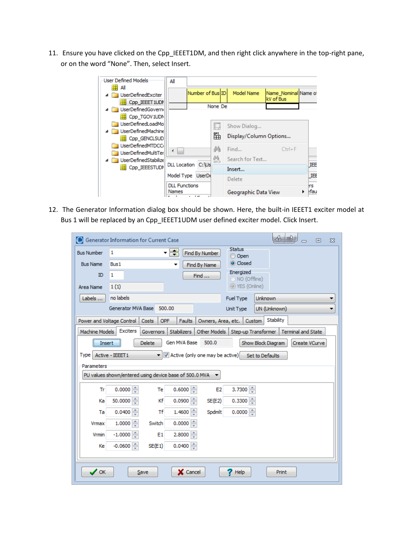11. Ensure you have clicked on the Cpp\_IEEET1DM, and then right click anywhere in the top-right pane, or on the word "None". Then, select Insert.

| User Defined Models:<br>₩                              | All                                  |                                                       |         |                        |                                   |                            |
|--------------------------------------------------------|--------------------------------------|-------------------------------------------------------|---------|------------------------|-----------------------------------|----------------------------|
| All<br><b>UserDefinedExciter</b>                       |                                      | Number of Bus ID                                      |         | <b>Model Name</b>      | Name Nominal Name of<br>kV of Bus |                            |
| E Cpp_IEEET 1UDM<br>UserDefinedGoverni                 |                                      |                                                       | None De |                        |                                   |                            |
| <b>HE Cpp TGOV1UDN</b><br>UserDefinedLoadMo            |                                      |                                                       | 薨       | Show Dialog            |                                   |                            |
| UserDefinedMachine<br>E Cpp_GENCLSUD                   |                                      |                                                       | 雝       | Display/Column Options |                                   |                            |
| UserDefinedMTDCCi<br><b>UserDefinedMultiTer</b>        | ∢<br><b>Contract</b>                 |                                                       | đã.     | Find                   | $Ctrl + F$                        |                            |
| <b>UserDefinedStabilize</b><br><b>HE Cpp_IEEESTUDM</b> | <b>DLL</b> Location                  | C:\Us                                                 | 疊       | Search for Text        |                                   | IEE                        |
|                                                        | Model Type                           | <b>UserDe</b>                                         |         | Insert<br>Delete       |                                   | IEE                        |
|                                                        | <b>DLL Functions</b><br><b>Names</b> | $\mathbf{r}$ and $\mathbf{r}$<br>$\ddot{\phantom{1}}$ |         | Geographic Data View   |                                   | <b>Irs</b><br><b>I</b> tau |

12. The Generator Information dialog box should be shown. Here, the built-in IEEET1 exciter model at Bus 1 will be replaced by an Cpp\_IEEET1UDM user defined exciter model. Click Insert.

| O                         |                          | Generator Information for Current Case                 |                    |                                 |                             |                     | 小喊                        | 同             | $\Sigma$ |
|---------------------------|--------------------------|--------------------------------------------------------|--------------------|---------------------------------|-----------------------------|---------------------|---------------------------|---------------|----------|
| <b>Bus Number</b>         | 1                        |                                                        | - 금                | Find By Number                  | <b>Status</b><br>O Open     |                     |                           |               |          |
| <b>Bus Name</b>           | Bus1                     |                                                        |                    | Find By Name                    | Closed                      |                     |                           |               |          |
| ID                        | 1                        |                                                        |                    | Find                            | Energized<br>O NO (Offline) |                     |                           |               |          |
| Area Name                 | 1(1)                     |                                                        |                    |                                 | ◎ YES (Online)              |                     |                           |               |          |
| Labels                    | no labels                |                                                        |                    |                                 | Fuel Type                   | Unknown             |                           |               |          |
|                           | Generator MVA Base       | 500.00                                                 |                    |                                 | Unit Type                   | UN (Unknown)        |                           |               |          |
| Power and Voltage Control |                          | OPF<br>Costs                                           | Faults             | Owners, Area, etc.              |                             | Stability<br>Custom |                           |               |          |
| Machine Models            | Exciters                 | <b>Governors</b>                                       | <b>Stabilizers</b> | Other Models                    |                             | Step-up Transformer | <b>Terminal and State</b> |               |          |
| Insert                    |                          | <b>Delete</b>                                          | Gen MVA Base       | 500.0                           |                             | Show Block Diagram  |                           | Create VCurve |          |
| Type Active - IEEET1      |                          |                                                        |                    | Active (only one may be active) |                             | Set to Defaults     |                           |               |          |
| Parameters                |                          |                                                        |                    |                                 |                             |                     |                           |               |          |
|                           |                          | PU values shown/entered using device base of 500.0 MVA |                    |                                 |                             |                     |                           |               |          |
| Tr                        | 0.0000                   | Te                                                     | 슦<br>0.6000        | E <sub>2</sub>                  | 3.7300                      |                     |                           |               |          |
| Ka                        | 50.0000                  | Κf                                                     | 승<br>0.0900        | SE(E2)                          | $0.3300 =$                  |                     |                           |               |          |
| Ta                        | 0.0400                   | Τf                                                     | $1.4600 \div$      | Spdmlt                          | $0.0000$ $\Rightarrow$      |                     |                           |               |          |
| Vrmax                     | $1.0000 \Leftrightarrow$ | Switch                                                 | ÷<br>0.0000        |                                 |                             |                     |                           |               |          |
| Vrmin                     | $-1,0000$                | E1                                                     | 2,8000             |                                 |                             |                     |                           |               |          |
| Кe                        | 승<br>$-0.0600$           | SE(E1)                                                 | 0.0400             |                                 |                             |                     |                           |               |          |
|                           |                          |                                                        |                    |                                 |                             |                     |                           |               |          |
| $\mathcal{S}$ ok          |                          | Save                                                   | X Cancel           |                                 | Help                        |                     | Print                     |               |          |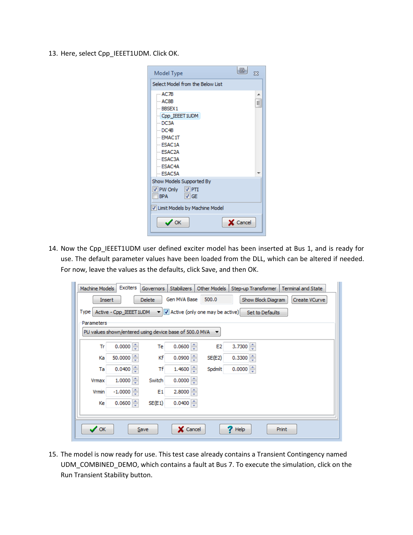13. Here, select Cpp\_IEEET1UDM. Click OK.

| Model Type<br>Χ                  |
|----------------------------------|
| Select Model from the Below List |
| --- AC7B<br>▴                    |
| — AC8B                           |
| $-BBSEX1$                        |
| - Cpp_IEEET1UDM                  |
| -DC3A                            |
| ≔ DC41B                          |
| $-$ EMAC 1T                      |
| $-$ ESAC1A                       |
| $-$ ESAC2A                       |
| $-$ ESAC3A                       |
| $-$ ESAC4A                       |
| $-$ FSAC5A                       |
| Show Models Supported By         |
| V PW Only V PTI                  |
| IBPA<br>$ V $ GE                 |
| V Limit Models by Machine Model  |
| Cancel<br>$\prime$ ok            |

14. Now the Cpp\_IEEET1UDM user defined exciter model has been inserted at Bus 1, and is ready for use. The default parameter values have been loaded from the DLL, which can be altered if needed. For now, leave the values as the defaults, click Save, and then OK.

| Machine Models   | Exciters                                               | <b>Governors</b> | Stabilizers            | Other Models                                         | Step-up Transformer | <b>Terminal and State</b> |
|------------------|--------------------------------------------------------|------------------|------------------------|------------------------------------------------------|---------------------|---------------------------|
| Insert           |                                                        | <b>Delete</b>    | Gen MVA Base           | 500.0                                                | Show Block Diagram  | Create VCurve             |
| Type             | Active - Cpp IEEET 1UDM                                |                  |                        | $\blacktriangledown$ Active (only one may be active) | Set to Defaults     |                           |
| Parameters       |                                                        |                  |                        |                                                      |                     |                           |
|                  | PU values shown/entered using device base of 500.0 MVA |                  |                        |                                                      |                     |                           |
| Tr               | 0.0000                                                 | Te               | $0.0600$ $\Rightarrow$ | E <sub>2</sub>                                       | 3.7300              |                           |
| Ka               | 50.0000                                                | Κf               | 0.0900                 | SE(E2)                                               | $0.3300 =$          |                           |
| Ta               | $0.0400 =$                                             | Τf               | $1.4600 =$             | Spdmlt                                               | 0.0000              |                           |
| Vrmax            | $1.0000 \div$                                          | Switch           | 0.0000                 |                                                      |                     |                           |
| Vrmin            | $-1.0000$                                              | E <sub>1</sub>   | $2.8000$ $\Rightarrow$ |                                                      |                     |                           |
| Кe               | $0.0600$ $\Rightarrow$                                 | SE(E1)           | 0.0400                 |                                                      |                     |                           |
|                  |                                                        |                  |                        |                                                      |                     |                           |
| $\mathcal{S}$ ok |                                                        | Save             | X Cancel               |                                                      | Help                | Print                     |

15. The model is now ready for use. This test case already contains a Transient Contingency named UDM\_COMBINED\_DEMO, which contains a fault at Bus 7. To execute the simulation, click on the Run Transient Stability button.